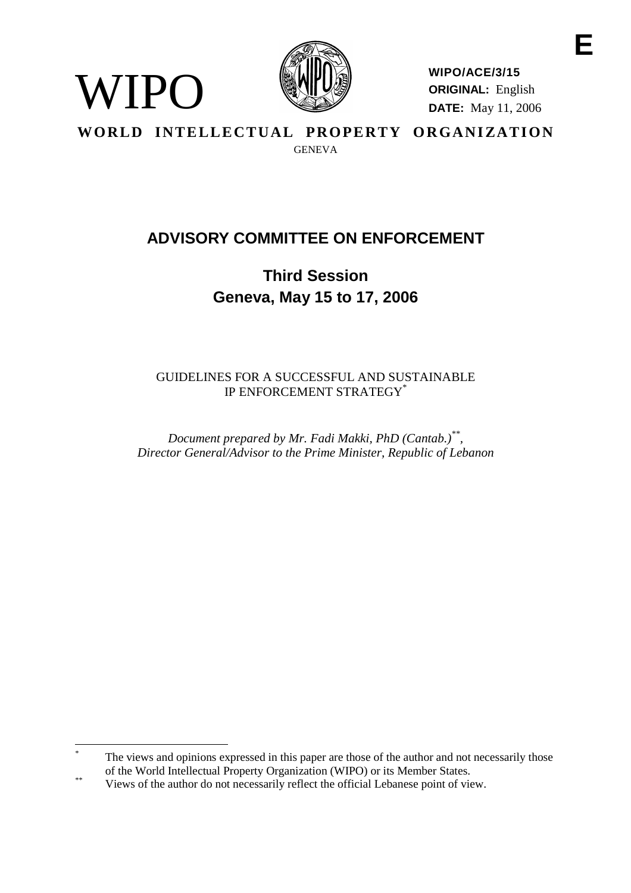

WIPO

**WIPO/ACE/3/15 ORIGINAL:** English **DATE:** May 11, 2006

WORLD INTELLECTUAL PROPERTY ORGANIZATION **GENEVA** 

# **ADVISORY COMMITTEE ON ENFORCEMENT**

**Third Session Geneva, May 15 to 17, 2006**

GUIDELINES FOR A SUCCESSFUL AND SUSTAINABLE IP ENFORCEMENT STRATEGY\*

*Document prepared by Mr. Fadi Makki, PhD (Cantab.)\*\*, Director General/Advisor to the Prime Minister, Republic of Lebanon*

The views and opinions expressed in this paper are those of the author and not necessarily those of the World Intellectual Property Organization (WIPO) or its Member States.

<sup>&</sup>lt;sup>\*\*</sup> Views of the author do not necessarily reflect the official Lebanese point of view.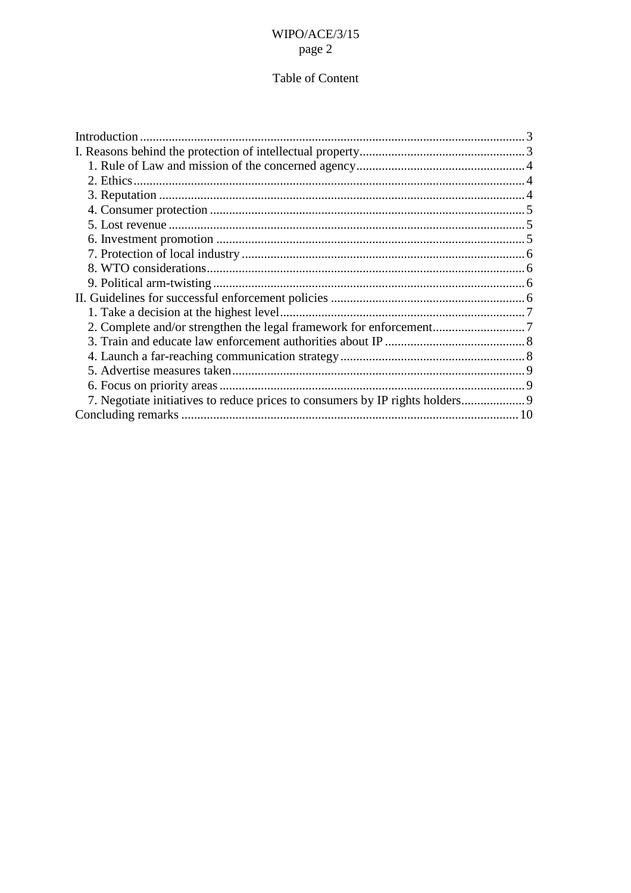## Table of Content

| 7. Negotiate initiatives to reduce prices to consumers by IP rights holders 9 |  |
|-------------------------------------------------------------------------------|--|
|                                                                               |  |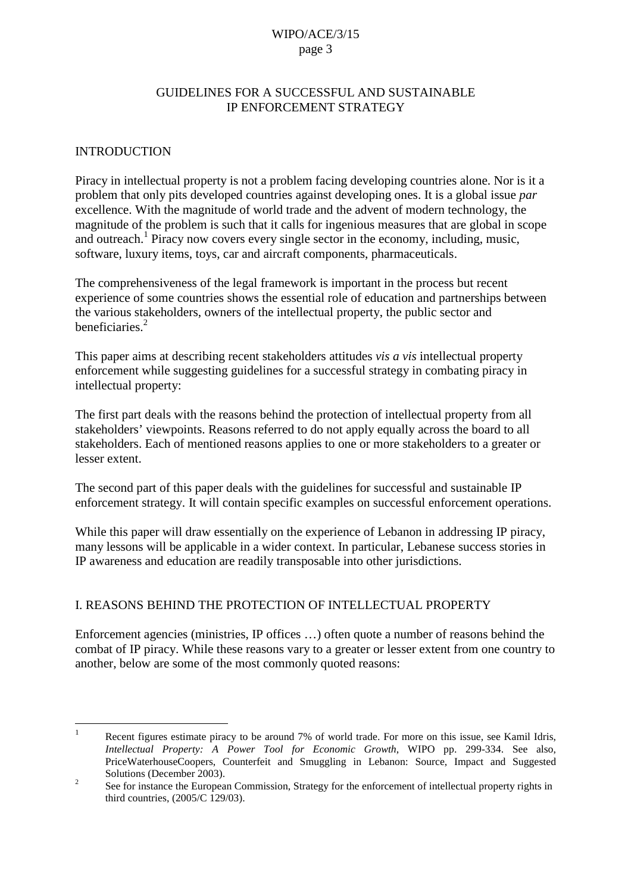## GUIDELINES FOR A SUCCESSFUL AND SUSTAINABLE IP ENFORCEMENT STRATEGY

### <span id="page-2-0"></span>INTRODUCTION

Piracy in intellectual property is not a problem facing developing countries alone. Nor is it a problem that only pits developed countries against developing ones. It is a global issue *par*  excellence. With the magnitude of world trade and the advent of modern technology, the magnitude of the problem is such that it calls for ingenious measures that are global in scope and outreach.<sup>1</sup> Piracy now covers every single sector in the economy, including, music, software, luxury items, toys, car and aircraft components, pharmaceuticals.

The comprehensiveness of the legal framework is important in the process but recent experience of some countries shows the essential role of education and partnerships between the various stakeholders, owners of the intellectual property, the public sector and beneficiaries.<sup>2</sup>

This paper aims at describing recent stakeholders attitudes *vis a vis* intellectual property enforcement while suggesting guidelines for a successful strategy in combating piracy in intellectual property:

The first part deals with the reasons behind the protection of intellectual property from all stakeholders' viewpoints. Reasons referred to do not apply equally across the board to all stakeholders. Each of mentioned reasons applies to one or more stakeholders to a greater or lesser extent.

The second part of this paper deals with the guidelines for successful and sustainable IP enforcement strategy. It will contain specific examples on successful enforcement operations.

While this paper will draw essentially on the experience of Lebanon in addressing IP piracy, many lessons will be applicable in a wider context. In particular, Lebanese success stories in IP awareness and education are readily transposable into other jurisdictions.

## I. REASONS BEHIND THE PROTECTION OF INTELLECTUAL PROPERTY

Enforcement agencies (ministries, IP offices …) often quote a number of reasons behind the combat of IP piracy. While these reasons vary to a greater or lesser extent from one country to another, below are some of the most commonly quoted reasons:

Recent figures estimate piracy to be around 7% of world trade. For more on this issue, see Kamil Idris, *Intellectual Property: A Power Tool for Economic Growth*, WIPO pp. 299-334. See also, PriceWaterhouseCoopers, Counterfeit and Smuggling in Lebanon: Source, Impact and Suggested

Solutions (December 2003).<br>
See for instance the European Commission, Strategy for the enforcement of intellectual property rights in third countries, (2005/C 129/03).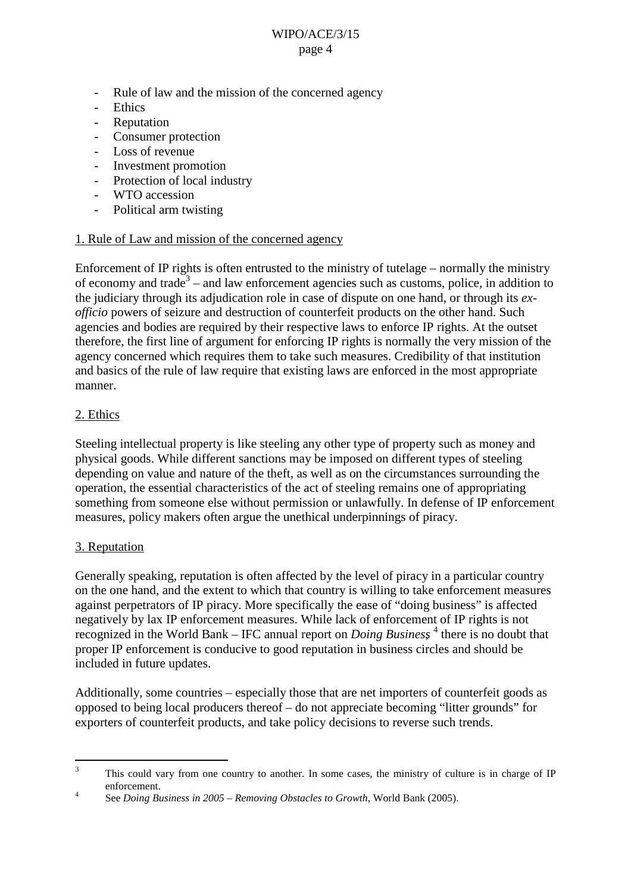- <span id="page-3-0"></span>- Rule of law and the mission of the concerned agency
- **Ethics**
- Reputation
- Consumer protection
- Loss of revenue
- Investment promotion
- Protection of local industry
- WTO accession
- Political arm twisting

#### 1. Rule of Law and mission of the concerned agency

Enforcement of IP rights is often entrusted to the ministry of tutelage – normally the ministry of economy and trade<sup>3</sup> – and law enforcement agencies such as customs, police, in addition to the judiciary through its adjudication role in case of dispute on one hand, or through its *exofficio* powers of seizure and destruction of counterfeit products on the other hand. Such agencies and bodies are required by their respective laws to enforce IP rights. At the outset therefore, the first line of argument for enforcing IP rights is normally the very mission of the agency concerned which requires them to take such measures. Credibility of that institution and basics of the rule of law require that existing laws are enforced in the most appropriate manner.

## 2. Ethics

Steeling intellectual property is like steeling any other type of property such as money and physical goods. While different sanctions may be imposed on different types of steeling depending on value and nature of the theft, as well as on the circumstances surrounding the operation, the essential characteristics of the act of steeling remains one of appropriating something from someone else without permission or unlawfully. In defense of IP enforcement measures, policy makers often argue the unethical underpinnings of piracy.

## 3. Reputation

Generally speaking, reputation is often affected by the level of piracy in a particular country on the one hand, and the extent to which that country is willing to take enforcement measures against perpetrators of IP piracy. More specifically the ease of "doing business" is affected negatively by lax IP enforcement measures. While lack of enforcement of IP rights is not recognized in the World Bank – IFC annual report on *Doing Business*<sup>4</sup> there is no doubt that proper IP enforcement is conducive to good reputation in business circles and should be included in future updates.

Additionally, some countries – especially those that are net importers of counterfeit goods as opposed to being local producers thereof – do not appreciate becoming "litter grounds" for exporters of counterfeit products, and take policy decisions to reverse such trends.

<sup>&</sup>lt;sup>3</sup> This could vary from one country to another. In some cases, the ministry of culture is in charge of IP enforcement. 4 See *Doing Business in 2005 – Removing Obstacles to Growth*, World Bank (2005).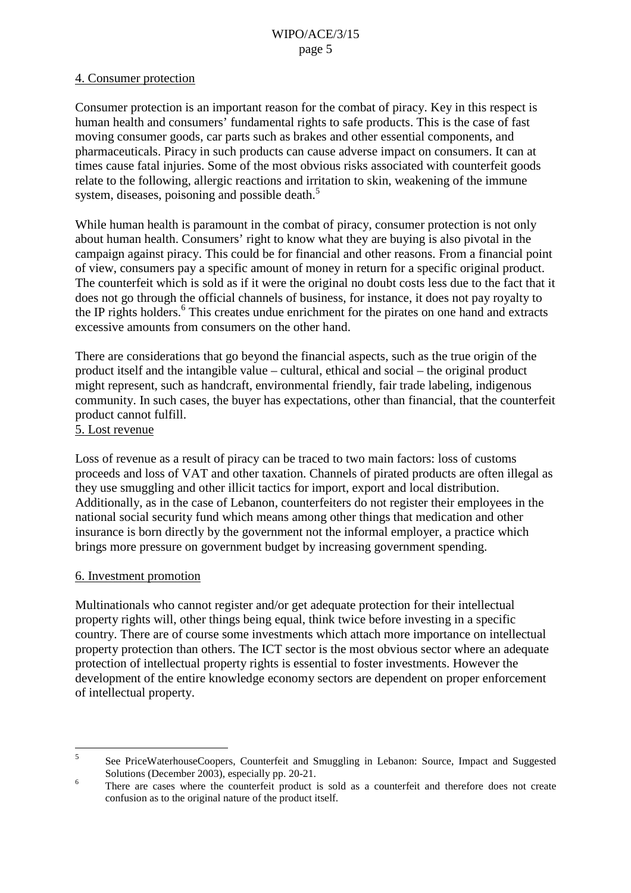## <span id="page-4-0"></span>4. Consumer protection

Consumer protection is an important reason for the combat of piracy. Key in this respect is human health and consumers' fundamental rights to safe products. This is the case of fast moving consumer goods, car parts such as brakes and other essential components, and pharmaceuticals. Piracy in such products can cause adverse impact on consumers. It can at times cause fatal injuries. Some of the most obvious risks associated with counterfeit goods relate to the following, allergic reactions and irritation to skin, weakening of the immune system, diseases, poisoning and possible death.<sup>5</sup>

While human health is paramount in the combat of piracy, consumer protection is not only about human health. Consumers' right to know what they are buying is also pivotal in the campaign against piracy. This could be for financial and other reasons. From a financial point of view, consumers pay a specific amount of money in return for a specific original product. The counterfeit which is sold as if it were the original no doubt costs less due to the fact that it does not go through the official channels of business, for instance, it does not pay royalty to the IP rights holders.<sup>6</sup> This creates undue enrichment for the pirates on one hand and extracts excessive amounts from consumers on the other hand.

There are considerations that go beyond the financial aspects, such as the true origin of the product itself and the intangible value – cultural, ethical and social – the original product might represent, such as handcraft, environmental friendly, fair trade labeling, indigenous community. In such cases, the buyer has expectations, other than financial, that the counterfeit product cannot fulfill.

#### 5. Lost revenue

Loss of revenue as a result of piracy can be traced to two main factors: loss of customs proceeds and loss of VAT and other taxation. Channels of pirated products are often illegal as they use smuggling and other illicit tactics for import, export and local distribution. Additionally, as in the case of Lebanon, counterfeiters do not register their employees in the national social security fund which means among other things that medication and other insurance is born directly by the government not the informal employer, a practice which brings more pressure on government budget by increasing government spending.

#### 6. Investment promotion

Multinationals who cannot register and/or get adequate protection for their intellectual property rights will, other things being equal, think twice before investing in a specific country. There are of course some investments which attach more importance on intellectual property protection than others. The ICT sector is the most obvious sector where an adequate protection of intellectual property rights is essential to foster investments. However the development of the entire knowledge economy sectors are dependent on proper enforcement of intellectual property.

<sup>5</sup> See PriceWaterhouseCoopers, Counterfeit and Smuggling in Lebanon: Source, Impact and Suggested  $\frac{6}{10}$  Solutions (December 2003), especially pp. 20-21.<br><sup>6</sup> There are cases where the counterfeit product is sold as a counterfeit and therefore does not create

confusion as to the original nature of the product itself.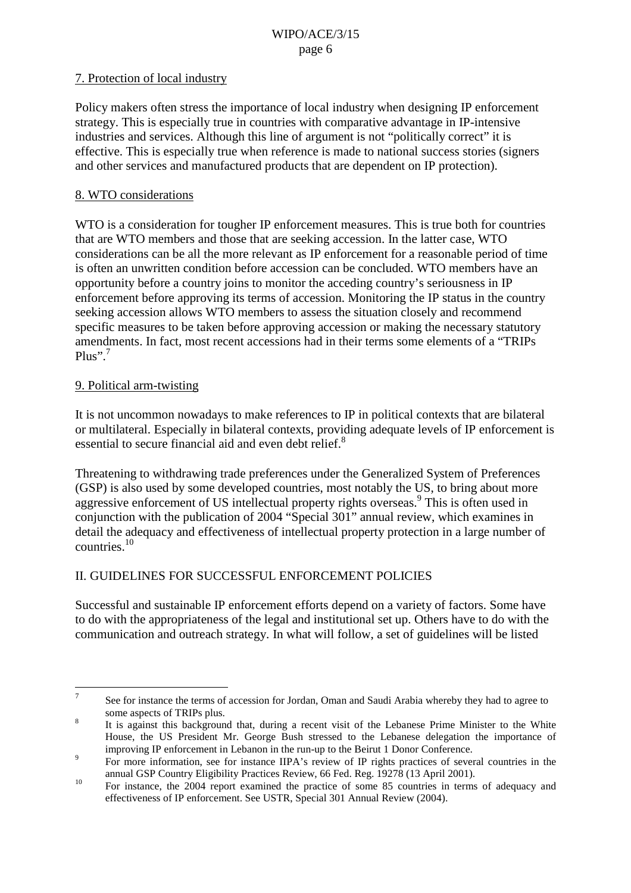## <span id="page-5-0"></span>7. Protection of local industry

Policy makers often stress the importance of local industry when designing IP enforcement strategy. This is especially true in countries with comparative advantage in IP-intensive industries and services. Although this line of argument is not "politically correct" it is effective. This is especially true when reference is made to national success stories (signers and other services and manufactured products that are dependent on IP protection).

## 8. WTO considerations

WTO is a consideration for tougher IP enforcement measures. This is true both for countries that are WTO members and those that are seeking accession. In the latter case, WTO considerations can be all the more relevant as IP enforcement for a reasonable period of time is often an unwritten condition before accession can be concluded. WTO members have an opportunity before a country joins to monitor the acceding country's seriousness in IP enforcement before approving its terms of accession. Monitoring the IP status in the country seeking accession allows WTO members to assess the situation closely and recommend specific measures to be taken before approving accession or making the necessary statutory amendments. In fact, most recent accessions had in their terms some elements of a "TRIPs  $Plus$ ".<sup>7</sup>

## 9. Political arm-twisting

It is not uncommon nowadays to make references to IP in political contexts that are bilateral or multilateral. Especially in bilateral contexts, providing adequate levels of IP enforcement is essential to secure financial aid and even debt relief.<sup>8</sup>

Threatening to withdrawing trade preferences under the Generalized System of Preferences (GSP) is also used by some developed countries, most notably the US, to bring about more aggressive enforcement of US intellectual property rights overseas.<sup>9</sup> This is often used in conjunction with the publication of 2004 "Special 301" annual review, which examines in detail the adequacy and effectiveness of intellectual property protection in a large number of countries.<sup>10</sup>

## II. GUIDELINES FOR SUCCESSFUL ENFORCEMENT POLICIES

Successful and sustainable IP enforcement efforts depend on a variety of factors. Some have to do with the appropriateness of the legal and institutional set up. Others have to do with the communication and outreach strategy. In what will follow, a set of guidelines will be listed

<sup>&</sup>lt;sup>7</sup> See for instance the terms of accession for Jordan, Oman and Saudi Arabia whereby they had to agree to

some aspects of TRIPs plus.<br><sup>8</sup> It is against this background that, during a recent visit of the Lebanese Prime Minister to the White House, the US President Mr. George Bush stressed to the Lebanese delegation the importance of <sup>9</sup> improving IP enforcement in Lebanon in the run-up to the Beirut 1 Donor Conference.<br><sup>9</sup> For more information, see for instance IIPA's review of IP rights practices of several countries in the

annual GSP Country Eligibility Practices Review, 66 Fed. Reg. 19278 (13 April 2001).<br><sup>10</sup> For instance, the 2004 report examined the practice of some 85 countries in terms of adequacy and

effectiveness of IP enforcement. See USTR, Special 301 Annual Review (2004).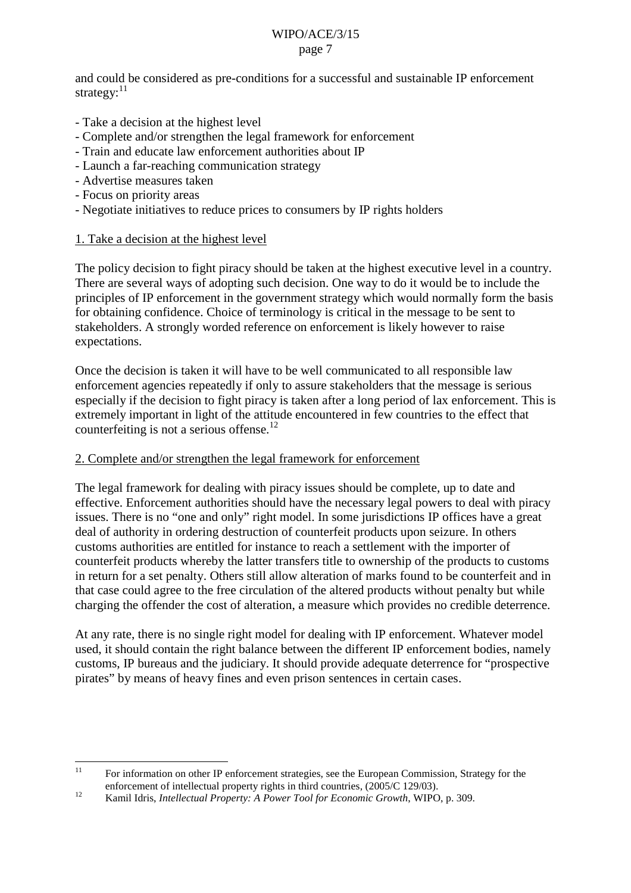<span id="page-6-0"></span>and could be considered as pre-conditions for a successful and sustainable IP enforcement strategy: $11$ 

- Take a decision at the highest level
- Complete and/or strengthen the legal framework for enforcement
- Train and educate law enforcement authorities about IP
- Launch a far-reaching communication strategy
- Advertise measures taken
- Focus on priority areas
- Negotiate initiatives to reduce prices to consumers by IP rights holders

## 1. Take a decision at the highest level

The policy decision to fight piracy should be taken at the highest executive level in a country. There are several ways of adopting such decision. One way to do it would be to include the principles of IP enforcement in the government strategy which would normally form the basis for obtaining confidence. Choice of terminology is critical in the message to be sent to stakeholders. A strongly worded reference on enforcement is likely however to raise expectations.

Once the decision is taken it will have to be well communicated to all responsible law enforcement agencies repeatedly if only to assure stakeholders that the message is serious especially if the decision to fight piracy is taken after a long period of lax enforcement. This is extremely important in light of the attitude encountered in few countries to the effect that counterfeiting is not a serious offense.<sup>12</sup>

#### 2. Complete and/or strengthen the legal framework for enforcement

The legal framework for dealing with piracy issues should be complete, up to date and effective. Enforcement authorities should have the necessary legal powers to deal with piracy issues. There is no "one and only" right model. In some jurisdictions IP offices have a great deal of authority in ordering destruction of counterfeit products upon seizure. In others customs authorities are entitled for instance to reach a settlement with the importer of counterfeit products whereby the latter transfers title to ownership of the products to customs in return for a set penalty. Others still allow alteration of marks found to be counterfeit and in that case could agree to the free circulation of the altered products without penalty but while charging the offender the cost of alteration, a measure which provides no credible deterrence.

At any rate, there is no single right model for dealing with IP enforcement. Whatever model used, it should contain the right balance between the different IP enforcement bodies, namely customs, IP bureaus and the judiciary. It should provide adequate deterrence for "prospective pirates" by means of heavy fines and even prison sentences in certain cases.

<sup>&</sup>lt;sup>11</sup> For information on other IP enforcement strategies, see the European Commission, Strategy for the enforcement of intellectual property rights in third countries, (2005/C 129/03). <sup>12</sup> Kamil Idris, *Intellectual Property: A Power Tool for Economic Growth*, WIPO, p. 309.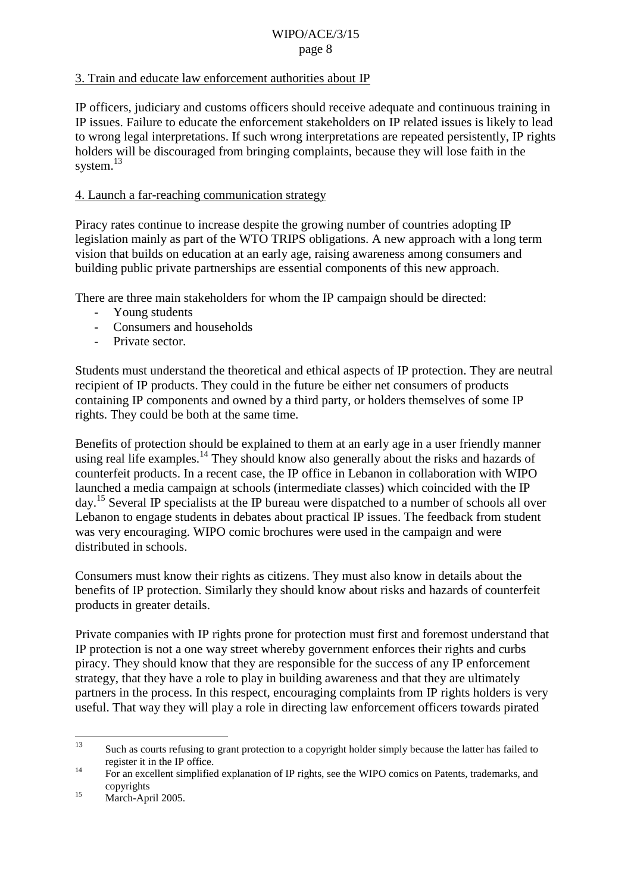## <span id="page-7-0"></span>3. Train and educate law enforcement authorities about IP

IP officers, judiciary and customs officers should receive adequate and continuous training in IP issues. Failure to educate the enforcement stakeholders on IP related issues is likely to lead to wrong legal interpretations. If such wrong interpretations are repeated persistently, IP rights holders will be discouraged from bringing complaints, because they will lose faith in the system. $^{13}$ 

### 4. Launch a far-reaching communication strategy

Piracy rates continue to increase despite the growing number of countries adopting IP legislation mainly as part of the WTO TRIPS obligations. A new approach with a long term vision that builds on education at an early age, raising awareness among consumers and building public private partnerships are essential components of this new approach.

There are three main stakeholders for whom the IP campaign should be directed:

- Young students
- Consumers and households
- Private sector.

Students must understand the theoretical and ethical aspects of IP protection. They are neutral recipient of IP products. They could in the future be either net consumers of products containing IP components and owned by a third party, or holders themselves of some IP rights. They could be both at the same time.

Benefits of protection should be explained to them at an early age in a user friendly manner using real life examples.<sup>14</sup> They should know also generally about the risks and hazards of counterfeit products. In a recent case, the IP office in Lebanon in collaboration with WIPO launched a media campaign at schools (intermediate classes) which coincided with the IP day.15 Several IP specialists at the IP bureau were dispatched to a number of schools all over Lebanon to engage students in debates about practical IP issues. The feedback from student was very encouraging. WIPO comic brochures were used in the campaign and were distributed in schools.

Consumers must know their rights as citizens. They must also know in details about the benefits of IP protection. Similarly they should know about risks and hazards of counterfeit products in greater details.

Private companies with IP rights prone for protection must first and foremost understand that IP protection is not a one way street whereby government enforces their rights and curbs piracy. They should know that they are responsible for the success of any IP enforcement strategy, that they have a role to play in building awareness and that they are ultimately partners in the process. In this respect, encouraging complaints from IP rights holders is very useful. That way they will play a role in directing law enforcement officers towards pirated

<sup>&</sup>lt;sup>13</sup> Such as courts refusing to grant protection to a copyright holder simply because the latter has failed to register it in the IP office.<br><sup>14</sup> For an excellent simplified explanation of IP rights, see the WIPO comics on Patents, trademarks, and

copyrights <sup>15</sup> March-April 2005.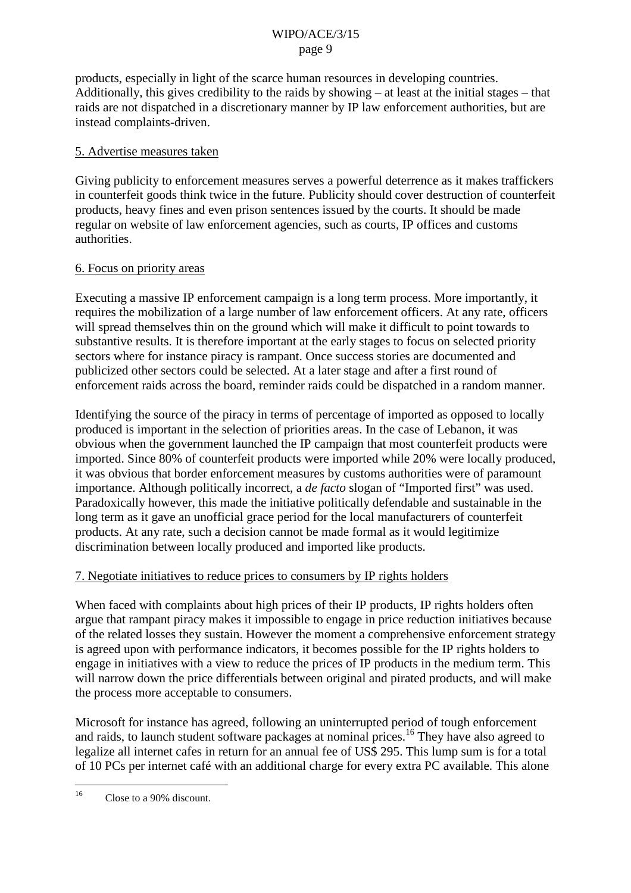<span id="page-8-0"></span>products, especially in light of the scarce human resources in developing countries. Additionally, this gives credibility to the raids by showing – at least at the initial stages – that raids are not dispatched in a discretionary manner by IP law enforcement authorities, but are instead complaints-driven.

### 5. Advertise measures taken

Giving publicity to enforcement measures serves a powerful deterrence as it makes traffickers in counterfeit goods think twice in the future. Publicity should cover destruction of counterfeit products, heavy fines and even prison sentences issued by the courts. It should be made regular on website of law enforcement agencies, such as courts, IP offices and customs authorities.

#### 6. Focus on priority areas

Executing a massive IP enforcement campaign is a long term process. More importantly, it requires the mobilization of a large number of law enforcement officers. At any rate, officers will spread themselves thin on the ground which will make it difficult to point towards to substantive results. It is therefore important at the early stages to focus on selected priority sectors where for instance piracy is rampant. Once success stories are documented and publicized other sectors could be selected. At a later stage and after a first round of enforcement raids across the board, reminder raids could be dispatched in a random manner.

Identifying the source of the piracy in terms of percentage of imported as opposed to locally produced is important in the selection of priorities areas. In the case of Lebanon, it was obvious when the government launched the IP campaign that most counterfeit products were imported. Since 80% of counterfeit products were imported while 20% were locally produced, it was obvious that border enforcement measures by customs authorities were of paramount importance. Although politically incorrect, a *de facto* slogan of "Imported first" was used. Paradoxically however, this made the initiative politically defendable and sustainable in the long term as it gave an unofficial grace period for the local manufacturers of counterfeit products. At any rate, such a decision cannot be made formal as it would legitimize discrimination between locally produced and imported like products.

## 7. Negotiate initiatives to reduce prices to consumers by IP rights holders

When faced with complaints about high prices of their IP products, IP rights holders often argue that rampant piracy makes it impossible to engage in price reduction initiatives because of the related losses they sustain. However the moment a comprehensive enforcement strategy is agreed upon with performance indicators, it becomes possible for the IP rights holders to engage in initiatives with a view to reduce the prices of IP products in the medium term. This will narrow down the price differentials between original and pirated products, and will make the process more acceptable to consumers.

Microsoft for instance has agreed, following an uninterrupted period of tough enforcement and raids, to launch student software packages at nominal prices.<sup>16</sup> They have also agreed to legalize all internet cafes in return for an annual fee of US\$ 295. This lump sum is for a total of 10 PCs per internet café with an additional charge for every extra PC available. This alone

<sup>&</sup>lt;sup>16</sup> Close to a 90% discount.